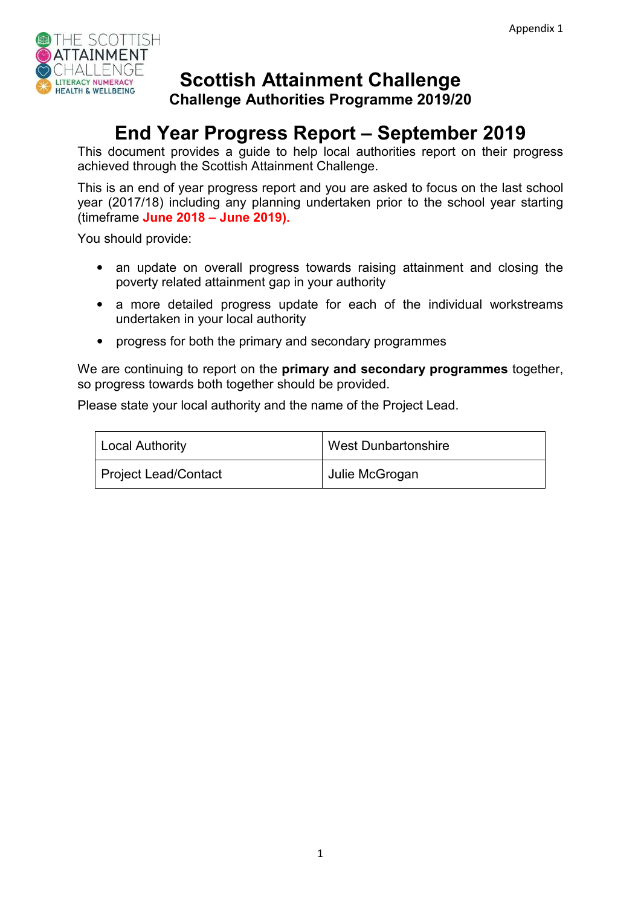

# **Scottish Attainment Challenge**

**Challenge Authorities Programme 2019/20** 

# **End Year Progress Report – September 2019**

This document provides a guide to help local authorities report on their progress achieved through the Scottish Attainment Challenge.

This is an end of year progress report and you are asked to focus on the last school year (2017/18) including any planning undertaken prior to the school year starting (timeframe **June 2018 – June 2019).** 

You should provide:

- an update on overall progress towards raising attainment and closing the poverty related attainment gap in your authority
- a more detailed progress update for each of the individual workstreams undertaken in your local authority
- progress for both the primary and secondary programmes

We are continuing to report on the **primary and secondary programmes** together, so progress towards both together should be provided.

Please state your local authority and the name of the Project Lead.

| Local Authority      | <b>West Dunbartonshire</b> |
|----------------------|----------------------------|
| Project Lead/Contact | Julie McGrogan             |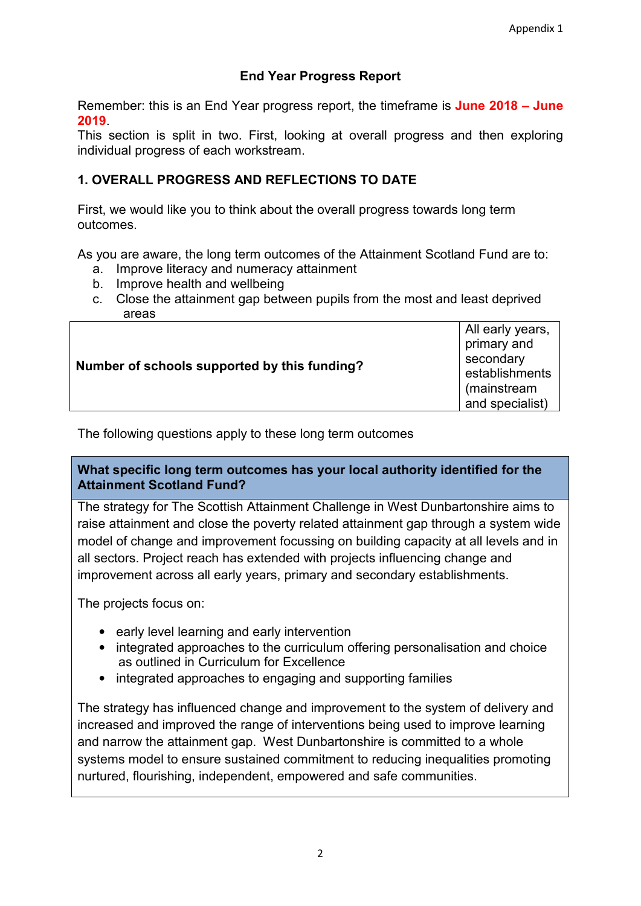# **End Year Progress Report**

Remember: this is an End Year progress report, the timeframe is **June 2018 – June 2019**.

This section is split in two. First, looking at overall progress and then exploring individual progress of each workstream.

# **1. OVERALL PROGRESS AND REFLECTIONS TO DATE**

First, we would like you to think about the overall progress towards long term outcomes.

As you are aware, the long term outcomes of the Attainment Scotland Fund are to:

- a. Improve literacy and numeracy attainment
- b. Improve health and wellbeing
- c. Close the attainment gap between pupils from the most and least deprived areas

| Number of schools supported by this funding? | All early years,<br>primary and<br>secondary<br>establishments<br>(mainstream<br>and specialist) |
|----------------------------------------------|--------------------------------------------------------------------------------------------------|
|----------------------------------------------|--------------------------------------------------------------------------------------------------|

The following questions apply to these long term outcomes

**What specific long term outcomes has your local authority identified for the Attainment Scotland Fund?** 

The strategy for The Scottish Attainment Challenge in West Dunbartonshire aims to raise attainment and close the poverty related attainment gap through a system wide model of change and improvement focussing on building capacity at all levels and in all sectors. Project reach has extended with projects influencing change and improvement across all early years, primary and secondary establishments.

The projects focus on:

- early level learning and early intervention
- integrated approaches to the curriculum offering personalisation and choice as outlined in Curriculum for Excellence
- integrated approaches to engaging and supporting families

The strategy has influenced change and improvement to the system of delivery and increased and improved the range of interventions being used to improve learning and narrow the attainment gap. West Dunbartonshire is committed to a whole systems model to ensure sustained commitment to reducing inequalities promoting nurtured, flourishing, independent, empowered and safe communities.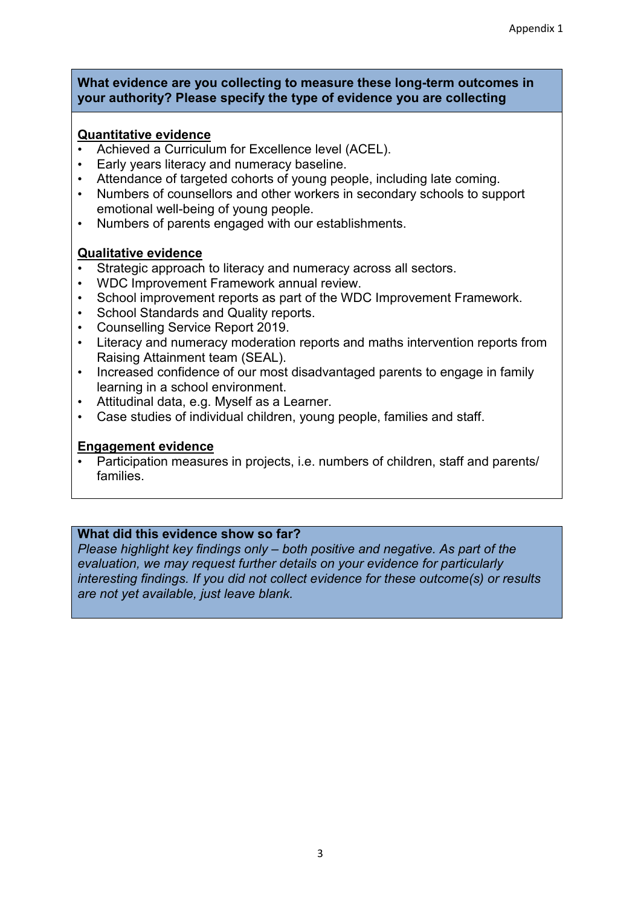#### **What evidence are you collecting to measure these long-term outcomes in your authority? Please specify the type of evidence you are collecting**

### **Quantitative evidence**

- Achieved a Curriculum for Excellence level (ACEL).
- Early years literacy and numeracy baseline.
- Attendance of targeted cohorts of young people, including late coming.
- Numbers of counsellors and other workers in secondary schools to support emotional well-being of young people.
- Numbers of parents engaged with our establishments.

### **Qualitative evidence**

- Strategic approach to literacy and numeracy across all sectors.
- WDC Improvement Framework annual review.
- School improvement reports as part of the WDC Improvement Framework.
- School Standards and Quality reports.
- Counselling Service Report 2019.
- Literacy and numeracy moderation reports and maths intervention reports from Raising Attainment team (SEAL).
- Increased confidence of our most disadvantaged parents to engage in family learning in a school environment.
- Attitudinal data, e.g. Myself as a Learner.
- Case studies of individual children, young people, families and staff.

## **Engagement evidence**

• Participation measures in projects, i.e. numbers of children, staff and parents/ families.

## **What did this evidence show so far?**

*Please highlight key findings only – both positive and negative. As part of the evaluation, we may request further details on your evidence for particularly interesting findings. If you did not collect evidence for these outcome(s) or results are not yet available, just leave blank.*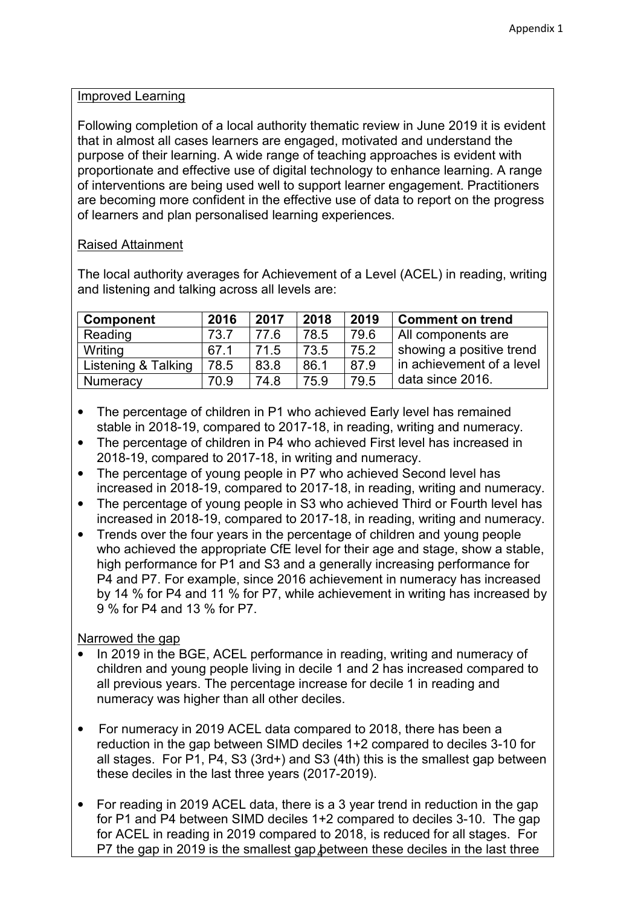#### Improved Learning

Following completion of a local authority thematic review in June 2019 it is evident that in almost all cases learners are engaged, motivated and understand the purpose of their learning. A wide range of teaching approaches is evident with proportionate and effective use of digital technology to enhance learning. A range of interventions are being used well to support learner engagement. Practitioners are becoming more confident in the effective use of data to report on the progress of learners and plan personalised learning experiences.

## Raised Attainment

The local authority averages for Achievement of a Level (ACEL) in reading, writing and listening and talking across all levels are:

| <b>Component</b>    | 2016 | 2017 | 2018 | 2019 | <b>Comment on trend</b>   |
|---------------------|------|------|------|------|---------------------------|
| Reading             | 73.7 | 77.6 | 78.5 | 79.6 | All components are        |
| Writing             | 67.1 | 71.5 | 73.5 | 75.2 | showing a positive trend  |
| Listening & Talking | 78.5 | 83.8 | 86.1 | 87.9 | in achievement of a level |
| <b>Numeracy</b>     | 70.9 | 74.8 | 75.9 | 79.5 | data since 2016.          |

- The percentage of children in P1 who achieved Early level has remained stable in 2018-19, compared to 2017-18, in reading, writing and numeracy.
- The percentage of children in P4 who achieved First level has increased in 2018-19, compared to 2017-18, in writing and numeracy.
- The percentage of young people in P7 who achieved Second level has increased in 2018-19, compared to 2017-18, in reading, writing and numeracy.
- The percentage of young people in S3 who achieved Third or Fourth level has increased in 2018-19, compared to 2017-18, in reading, writing and numeracy.
- Trends over the four years in the percentage of children and young people who achieved the appropriate CfE level for their age and stage, show a stable, high performance for P1 and S3 and a generally increasing performance for P4 and P7. For example, since 2016 achievement in numeracy has increased by 14 % for P4 and 11 % for P7, while achievement in writing has increased by 9 % for P4 and 13 % for P7.

## Narrowed the gap

- In 2019 in the BGE, ACEL performance in reading, writing and numeracy of children and young people living in decile 1 and 2 has increased compared to all previous years. The percentage increase for decile 1 in reading and numeracy was higher than all other deciles.
- For numeracy in 2019 ACEL data compared to 2018, there has been a reduction in the gap between SIMD deciles 1+2 compared to deciles 3-10 for all stages. For P1, P4, S3 (3rd+) and S3 (4th) this is the smallest gap between these deciles in the last three years (2017-2019).
- P7 the gap in 2019 is the smallest gap between these deciles in the last three • For reading in 2019 ACEL data, there is a 3 year trend in reduction in the gap for P1 and P4 between SIMD deciles 1+2 compared to deciles 3-10. The gap for ACEL in reading in 2019 compared to 2018, is reduced for all stages. For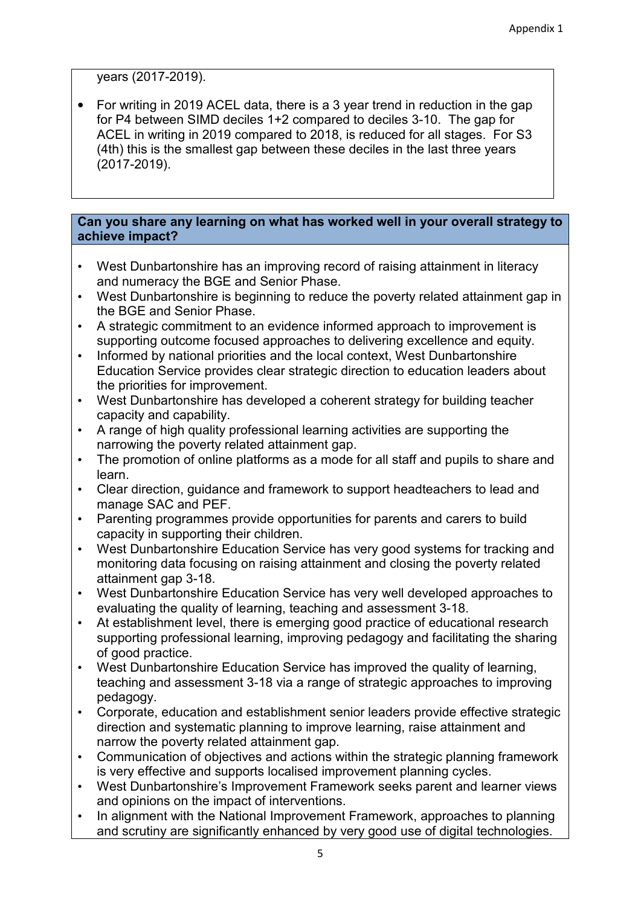years (2017-2019).

• For writing in 2019 ACEL data, there is a 3 year trend in reduction in the gap for P4 between SIMD deciles 1+2 compared to deciles 3-10. The gap for ACEL in writing in 2019 compared to 2018, is reduced for all stages. For S3 (4th) this is the smallest gap between these deciles in the last three years (2017-2019).

#### **Can you share any learning on what has worked well in your overall strategy to achieve impact?**

- West Dunbartonshire has an improving record of raising attainment in literacy and numeracy the BGE and Senior Phase.
- West Dunbartonshire is beginning to reduce the poverty related attainment gap in the BGE and Senior Phase.
- A strategic commitment to an evidence informed approach to improvement is supporting outcome focused approaches to delivering excellence and equity.
- Informed by national priorities and the local context, West Dunbartonshire Education Service provides clear strategic direction to education leaders about the priorities for improvement.
- West Dunbartonshire has developed a coherent strategy for building teacher capacity and capability.
- A range of high quality professional learning activities are supporting the narrowing the poverty related attainment gap.
- The promotion of online platforms as a mode for all staff and pupils to share and learn.
- Clear direction, guidance and framework to support headteachers to lead and manage SAC and PEF.
- Parenting programmes provide opportunities for parents and carers to build capacity in supporting their children.
- West Dunbartonshire Education Service has very good systems for tracking and monitoring data focusing on raising attainment and closing the poverty related attainment gap 3-18.
- West Dunbartonshire Education Service has very well developed approaches to evaluating the quality of learning, teaching and assessment 3-18.
- At establishment level, there is emerging good practice of educational research supporting professional learning, improving pedagogy and facilitating the sharing of good practice.
- West Dunbartonshire Education Service has improved the quality of learning, teaching and assessment 3-18 via a range of strategic approaches to improving pedagogy.
- Corporate, education and establishment senior leaders provide effective strategic direction and systematic planning to improve learning, raise attainment and narrow the poverty related attainment gap.
- Communication of objectives and actions within the strategic planning framework is very effective and supports localised improvement planning cycles.
- West Dunbartonshire's Improvement Framework seeks parent and learner views and opinions on the impact of interventions.
- In alignment with the National Improvement Framework, approaches to planning and scrutiny are significantly enhanced by very good use of digital technologies.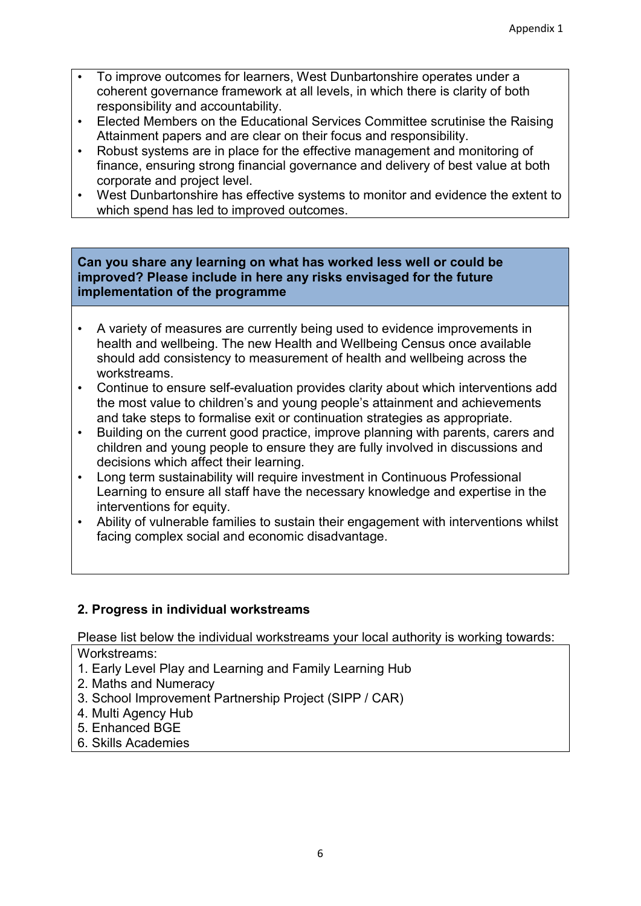- To improve outcomes for learners, West Dunbartonshire operates under a coherent governance framework at all levels, in which there is clarity of both responsibility and accountability.
- Elected Members on the Educational Services Committee scrutinise the Raising Attainment papers and are clear on their focus and responsibility.
- Robust systems are in place for the effective management and monitoring of finance, ensuring strong financial governance and delivery of best value at both corporate and project level.
- West Dunbartonshire has effective systems to monitor and evidence the extent to which spend has led to improved outcomes.

#### **Can you share any learning on what has worked less well or could be improved? Please include in here any risks envisaged for the future implementation of the programme**

- A variety of measures are currently being used to evidence improvements in health and wellbeing. The new Health and Wellbeing Census once available should add consistency to measurement of health and wellbeing across the workstreams.
- Continue to ensure self-evaluation provides clarity about which interventions add the most value to children's and young people's attainment and achievements and take steps to formalise exit or continuation strategies as appropriate.
- Building on the current good practice, improve planning with parents, carers and children and young people to ensure they are fully involved in discussions and decisions which affect their learning.
- Long term sustainability will require investment in Continuous Professional Learning to ensure all staff have the necessary knowledge and expertise in the interventions for equity.
- Ability of vulnerable families to sustain their engagement with interventions whilst facing complex social and economic disadvantage.

## **2. Progress in individual workstreams**

Please list below the individual workstreams your local authority is working towards:

Workstreams:

- 1. Early Level Play and Learning and Family Learning Hub
- 2. Maths and Numeracy
- 3. School Improvement Partnership Project (SIPP / CAR)
- 4. Multi Agency Hub
- 5. Enhanced BGE
- 6. Skills Academies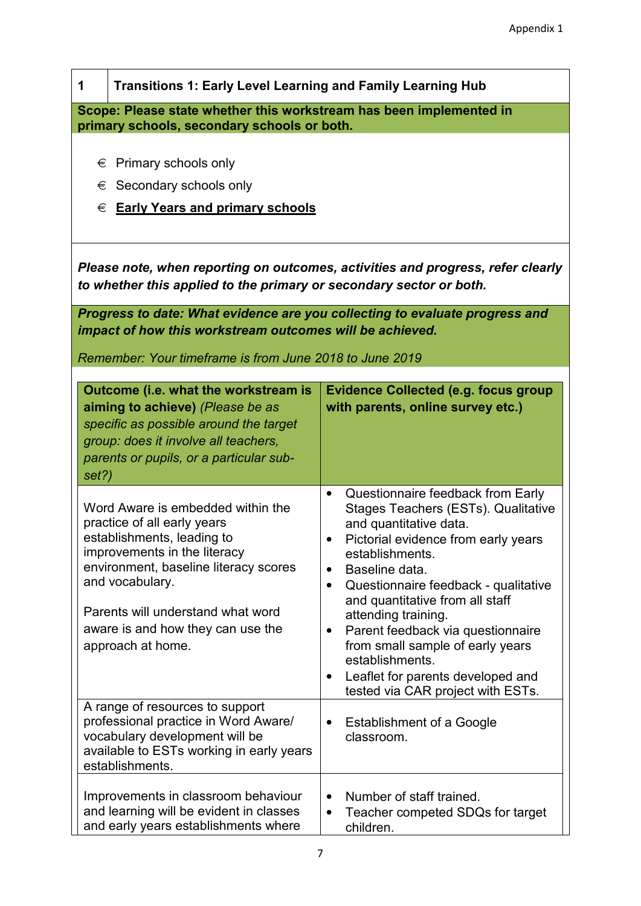| 1                                                                                                                  | <b>Transitions 1: Early Level Learning and Family Learning Hub</b>                                                                                                                                                                                                                        |                                                                                                                                                                                                                                                                                                                                                                                                                                                                                                                         |  |
|--------------------------------------------------------------------------------------------------------------------|-------------------------------------------------------------------------------------------------------------------------------------------------------------------------------------------------------------------------------------------------------------------------------------------|-------------------------------------------------------------------------------------------------------------------------------------------------------------------------------------------------------------------------------------------------------------------------------------------------------------------------------------------------------------------------------------------------------------------------------------------------------------------------------------------------------------------------|--|
| Scope: Please state whether this workstream has been implemented in<br>primary schools, secondary schools or both. |                                                                                                                                                                                                                                                                                           |                                                                                                                                                                                                                                                                                                                                                                                                                                                                                                                         |  |
| Primary schools only<br>€<br>Secondary schools only<br>€<br><b>Early Years and primary schools</b><br>€            |                                                                                                                                                                                                                                                                                           |                                                                                                                                                                                                                                                                                                                                                                                                                                                                                                                         |  |
|                                                                                                                    | Please note, when reporting on outcomes, activities and progress, refer clearly<br>to whether this applied to the primary or secondary sector or both.                                                                                                                                    |                                                                                                                                                                                                                                                                                                                                                                                                                                                                                                                         |  |
|                                                                                                                    | impact of how this workstream outcomes will be achieved.                                                                                                                                                                                                                                  | Progress to date: What evidence are you collecting to evaluate progress and                                                                                                                                                                                                                                                                                                                                                                                                                                             |  |
|                                                                                                                    | Remember: Your timeframe is from June 2018 to June 2019                                                                                                                                                                                                                                   |                                                                                                                                                                                                                                                                                                                                                                                                                                                                                                                         |  |
| set?)                                                                                                              | Outcome (i.e. what the workstream is<br>aiming to achieve) (Please be as<br>specific as possible around the target<br>group: does it involve all teachers,<br>parents or pupils, or a particular sub-                                                                                     | <b>Evidence Collected (e.g. focus group</b><br>with parents, online survey etc.)                                                                                                                                                                                                                                                                                                                                                                                                                                        |  |
|                                                                                                                    | Word Aware is embedded within the<br>practice of all early years<br>establishments, leading to<br>improvements in the literacy<br>environment, baseline literacy scores<br>and vocabulary.<br>Parents will understand what word<br>aware is and how they can use the<br>approach at home. | Questionnaire feedback from Early<br>$\bullet$<br>Stages Teachers (ESTs). Qualitative<br>and quantitative data.<br>Pictorial evidence from early years<br>establishments.<br>Baseline data.<br>$\bullet$<br>Questionnaire feedback - qualitative<br>$\bullet$<br>and quantitative from all staff<br>attending training.<br>Parent feedback via questionnaire<br>$\bullet$<br>from small sample of early years<br>establishments.<br>Leaflet for parents developed and<br>$\bullet$<br>tested via CAR project with ESTs. |  |
|                                                                                                                    | A range of resources to support<br>professional practice in Word Aware/<br>vocabulary development will be<br>available to ESTs working in early years<br>establishments.                                                                                                                  | <b>Establishment of a Google</b><br>$\bullet$<br>classroom.                                                                                                                                                                                                                                                                                                                                                                                                                                                             |  |
|                                                                                                                    | Improvements in classroom behaviour<br>and learning will be evident in classes<br>and early years establishments where                                                                                                                                                                    | Number of staff trained.<br>$\bullet$<br>Teacher competed SDQs for target<br>$\bullet$<br>children.                                                                                                                                                                                                                                                                                                                                                                                                                     |  |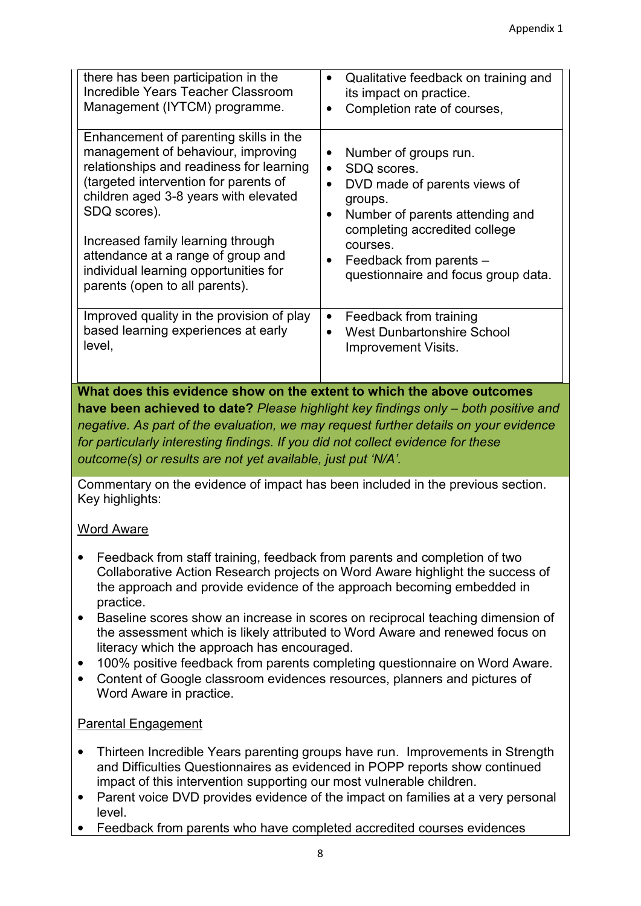| there has been participation in the<br>Incredible Years Teacher Classroom<br>Management (IYTCM) programme.                                                                                                                                                                                                                                                                       | Qualitative feedback on training and<br>its impact on practice.<br>Completion rate of courses,<br>$\bullet$                                                                                                                       |
|----------------------------------------------------------------------------------------------------------------------------------------------------------------------------------------------------------------------------------------------------------------------------------------------------------------------------------------------------------------------------------|-----------------------------------------------------------------------------------------------------------------------------------------------------------------------------------------------------------------------------------|
| Enhancement of parenting skills in the<br>management of behaviour, improving<br>relationships and readiness for learning<br>(targeted intervention for parents of<br>children aged 3-8 years with elevated<br>SDQ scores).<br>Increased family learning through<br>attendance at a range of group and<br>individual learning opportunities for<br>parents (open to all parents). | Number of groups run.<br>SDQ scores.<br>DVD made of parents views of<br>groups.<br>Number of parents attending and<br>completing accredited college<br>courses.<br>Feedback from parents -<br>questionnaire and focus group data. |
| Improved quality in the provision of play<br>based learning experiences at early<br>level,                                                                                                                                                                                                                                                                                       | Feedback from training<br>$\bullet$<br><b>West Dunbartonshire School</b><br><b>Improvement Visits.</b>                                                                                                                            |

Commentary on the evidence of impact has been included in the previous section. Key highlights:

## Word Aware

- Feedback from staff training, feedback from parents and completion of two Collaborative Action Research projects on Word Aware highlight the success of the approach and provide evidence of the approach becoming embedded in practice.
- Baseline scores show an increase in scores on reciprocal teaching dimension of the assessment which is likely attributed to Word Aware and renewed focus on literacy which the approach has encouraged.
- 100% positive feedback from parents completing questionnaire on Word Aware.
- Content of Google classroom evidences resources, planners and pictures of Word Aware in practice.

#### Parental Engagement

- Thirteen Incredible Years parenting groups have run. Improvements in Strength and Difficulties Questionnaires as evidenced in POPP reports show continued impact of this intervention supporting our most vulnerable children.
- Parent voice DVD provides evidence of the impact on families at a very personal level.
- Feedback from parents who have completed accredited courses evidences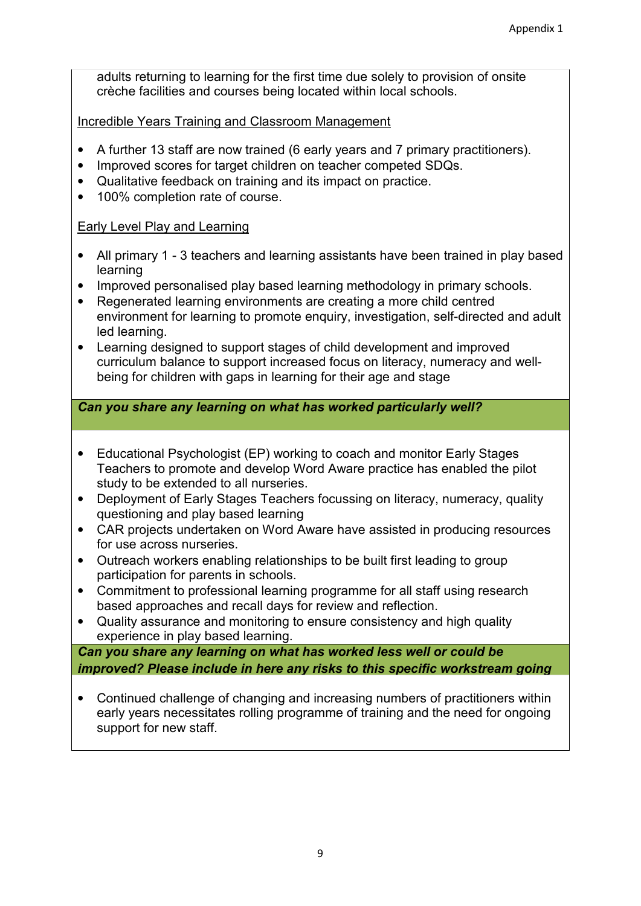adults returning to learning for the first time due solely to provision of onsite crèche facilities and courses being located within local schools.

Incredible Years Training and Classroom Management

- A further 13 staff are now trained (6 early years and 7 primary practitioners).
- Improved scores for target children on teacher competed SDQs.
- Qualitative feedback on training and its impact on practice.
- 100% completion rate of course.

### Early Level Play and Learning

- All primary 1 3 teachers and learning assistants have been trained in play based learning
- Improved personalised play based learning methodology in primary schools.
- Regenerated learning environments are creating a more child centred environment for learning to promote enquiry, investigation, self-directed and adult led learning.
- Learning designed to support stages of child development and improved curriculum balance to support increased focus on literacy, numeracy and wellbeing for children with gaps in learning for their age and stage

*Can you share any learning on what has worked particularly well?* 

- Educational Psychologist (EP) working to coach and monitor Early Stages Teachers to promote and develop Word Aware practice has enabled the pilot study to be extended to all nurseries.
- Deployment of Early Stages Teachers focussing on literacy, numeracy, quality questioning and play based learning
- CAR projects undertaken on Word Aware have assisted in producing resources for use across nurseries.
- Outreach workers enabling relationships to be built first leading to group participation for parents in schools.
- Commitment to professional learning programme for all staff using research based approaches and recall days for review and reflection.
- Quality assurance and monitoring to ensure consistency and high quality experience in play based learning.

*Can you share any learning on what has worked less well or could be improved? Please include in here any risks to this specific workstream going* 

• Continued challenge of changing and increasing numbers of practitioners within early years necessitates rolling programme of training and the need for ongoing support for new staff.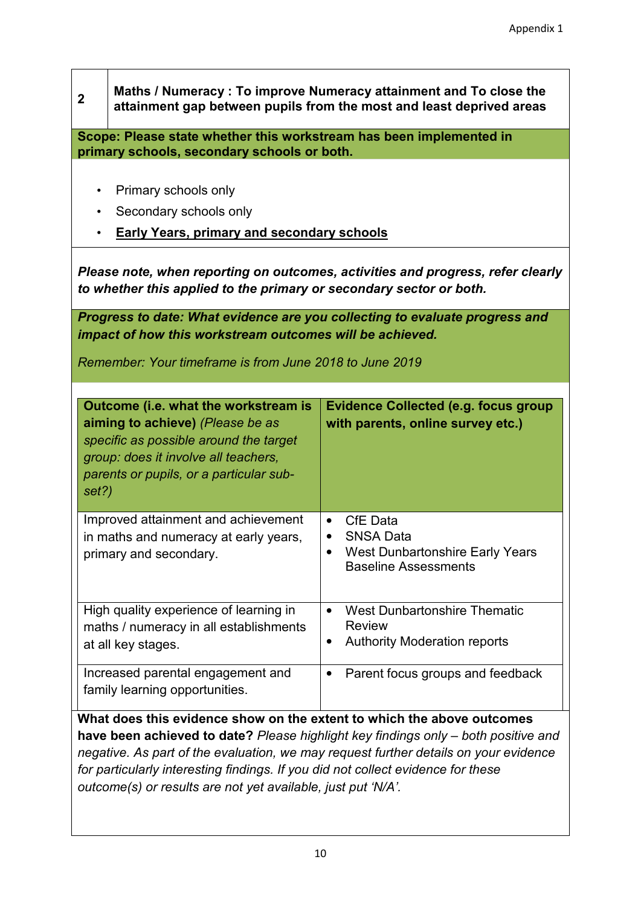| $\overline{\mathbf{2}}$                                                                                                                                                                                                                                                                                                                                                                                  | Maths / Numeracy: To improve Numeracy attainment and To close the<br>attainment gap between pupils from the most and least deprived areas                                                             |                                                                                                                                 |  |
|----------------------------------------------------------------------------------------------------------------------------------------------------------------------------------------------------------------------------------------------------------------------------------------------------------------------------------------------------------------------------------------------------------|-------------------------------------------------------------------------------------------------------------------------------------------------------------------------------------------------------|---------------------------------------------------------------------------------------------------------------------------------|--|
| Scope: Please state whether this workstream has been implemented in                                                                                                                                                                                                                                                                                                                                      |                                                                                                                                                                                                       |                                                                                                                                 |  |
| $\bullet$<br>$\bullet$                                                                                                                                                                                                                                                                                                                                                                                   | primary schools, secondary schools or both.<br>Primary schools only<br>Secondary schools only                                                                                                         |                                                                                                                                 |  |
|                                                                                                                                                                                                                                                                                                                                                                                                          | <b>Early Years, primary and secondary schools</b>                                                                                                                                                     |                                                                                                                                 |  |
|                                                                                                                                                                                                                                                                                                                                                                                                          | to whether this applied to the primary or secondary sector or both.                                                                                                                                   | Please note, when reporting on outcomes, activities and progress, refer clearly                                                 |  |
|                                                                                                                                                                                                                                                                                                                                                                                                          | impact of how this workstream outcomes will be achieved.                                                                                                                                              | Progress to date: What evidence are you collecting to evaluate progress and                                                     |  |
|                                                                                                                                                                                                                                                                                                                                                                                                          | Remember: Your timeframe is from June 2018 to June 2019                                                                                                                                               |                                                                                                                                 |  |
| set?)                                                                                                                                                                                                                                                                                                                                                                                                    | Outcome (i.e. what the workstream is<br>aiming to achieve) (Please be as<br>specific as possible around the target<br>group: does it involve all teachers,<br>parents or pupils, or a particular sub- | <b>Evidence Collected (e.g. focus group</b><br>with parents, online survey etc.)                                                |  |
|                                                                                                                                                                                                                                                                                                                                                                                                          | Improved attainment and achievement<br>in maths and numeracy at early years,<br>primary and secondary.                                                                                                | CfE Data<br>$\bullet$<br><b>SNSA Data</b><br><b>West Dunbartonshire Early Years</b><br>$\bullet$<br><b>Baseline Assessments</b> |  |
|                                                                                                                                                                                                                                                                                                                                                                                                          | High quality experience of learning in<br>maths / numeracy in all establishments<br>at all key stages.                                                                                                | <b>West Dunbartonshire Thematic</b><br>$\bullet$<br><b>Review</b><br><b>Authority Moderation reports</b>                        |  |
|                                                                                                                                                                                                                                                                                                                                                                                                          | Increased parental engagement and<br>family learning opportunities.                                                                                                                                   | Parent focus groups and feedback<br>$\bullet$                                                                                   |  |
| What does this evidence show on the extent to which the above outcomes<br>have been achieved to date? Please highlight key findings only – both positive and<br>negative. As part of the evaluation, we may request further details on your evidence<br>for particularly interesting findings. If you did not collect evidence for these<br>outcome(s) or results are not yet available, just put 'N/A'. |                                                                                                                                                                                                       |                                                                                                                                 |  |

 $\overline{1}$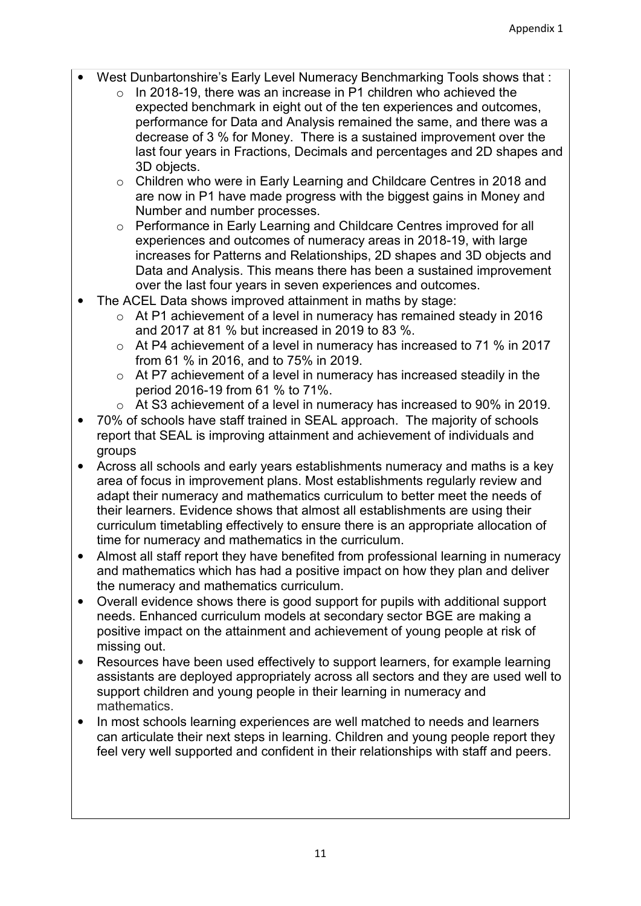- West Dunbartonshire's Early Level Numeracy Benchmarking Tools shows that :
	- o In 2018-19, there was an increase in P1 children who achieved the expected benchmark in eight out of the ten experiences and outcomes, performance for Data and Analysis remained the same, and there was a decrease of 3 % for Money. There is a sustained improvement over the last four years in Fractions, Decimals and percentages and 2D shapes and 3D objects.
	- o Children who were in Early Learning and Childcare Centres in 2018 and are now in P1 have made progress with the biggest gains in Money and Number and number processes.
	- o Performance in Early Learning and Childcare Centres improved for all experiences and outcomes of numeracy areas in 2018-19, with large increases for Patterns and Relationships, 2D shapes and 3D objects and Data and Analysis. This means there has been a sustained improvement over the last four years in seven experiences and outcomes.
- The ACEL Data shows improved attainment in maths by stage:
	- o At P1 achievement of a level in numeracy has remained steady in 2016 and 2017 at 81 % but increased in 2019 to 83 %.
	- o At P4 achievement of a level in numeracy has increased to 71 % in 2017 from 61 % in 2016, and to 75% in 2019.
	- o At P7 achievement of a level in numeracy has increased steadily in the period 2016-19 from 61 % to 71%.
	- o At S3 achievement of a level in numeracy has increased to 90% in 2019.
- 70% of schools have staff trained in SEAL approach. The majority of schools report that SEAL is improving attainment and achievement of individuals and groups
- Across all schools and early years establishments numeracy and maths is a key area of focus in improvement plans. Most establishments regularly review and adapt their numeracy and mathematics curriculum to better meet the needs of their learners. Evidence shows that almost all establishments are using their curriculum timetabling effectively to ensure there is an appropriate allocation of time for numeracy and mathematics in the curriculum.
- Almost all staff report they have benefited from professional learning in numeracy and mathematics which has had a positive impact on how they plan and deliver the numeracy and mathematics curriculum.
- Overall evidence shows there is good support for pupils with additional support needs. Enhanced curriculum models at secondary sector BGE are making a positive impact on the attainment and achievement of young people at risk of missing out.
- Resources have been used effectively to support learners, for example learning assistants are deployed appropriately across all sectors and they are used well to support children and young people in their learning in numeracy and mathematics.
- In most schools learning experiences are well matched to needs and learners can articulate their next steps in learning. Children and young people report they feel very well supported and confident in their relationships with staff and peers.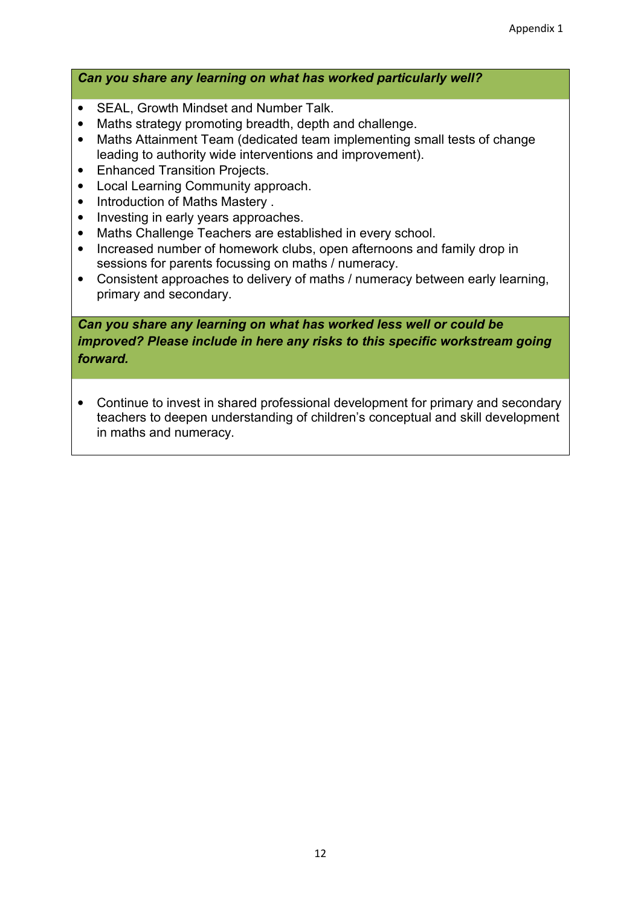## *Can you share any learning on what has worked particularly well?*

- SEAL, Growth Mindset and Number Talk.
- Maths strategy promoting breadth, depth and challenge.
- Maths Attainment Team (dedicated team implementing small tests of change leading to authority wide interventions and improvement).
- Enhanced Transition Projects.
- Local Learning Community approach.
- Introduction of Maths Mastery .
- Investing in early years approaches.
- Maths Challenge Teachers are established in every school.
- Increased number of homework clubs, open afternoons and family drop in sessions for parents focussing on maths / numeracy.
- Consistent approaches to delivery of maths / numeracy between early learning, primary and secondary.

*Can you share any learning on what has worked less well or could be improved? Please include in here any risks to this specific workstream going forward.* 

• Continue to invest in shared professional development for primary and secondary teachers to deepen understanding of children's conceptual and skill development in maths and numeracy.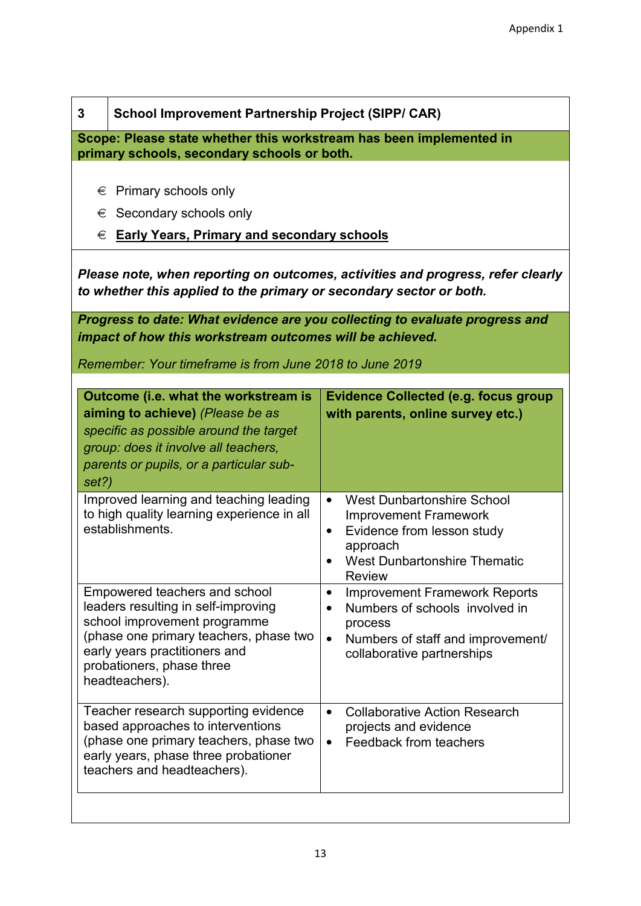| 3                                                                                                                  | <b>School Improvement Partnership Project (SIPP/ CAR)</b>                                                                                                                                                                                                                                                        |                                                                                                                                                                                                                                                     |  |
|--------------------------------------------------------------------------------------------------------------------|------------------------------------------------------------------------------------------------------------------------------------------------------------------------------------------------------------------------------------------------------------------------------------------------------------------|-----------------------------------------------------------------------------------------------------------------------------------------------------------------------------------------------------------------------------------------------------|--|
| Scope: Please state whether this workstream has been implemented in<br>primary schools, secondary schools or both. |                                                                                                                                                                                                                                                                                                                  |                                                                                                                                                                                                                                                     |  |
| €<br>€<br>€                                                                                                        | Primary schools only<br>Secondary schools only<br><b>Early Years, Primary and secondary schools</b>                                                                                                                                                                                                              |                                                                                                                                                                                                                                                     |  |
|                                                                                                                    | Please note, when reporting on outcomes, activities and progress, refer clearly<br>to whether this applied to the primary or secondary sector or both.                                                                                                                                                           |                                                                                                                                                                                                                                                     |  |
|                                                                                                                    | Progress to date: What evidence are you collecting to evaluate progress and<br>impact of how this workstream outcomes will be achieved.<br>Remember: Your timeframe is from June 2018 to June 2019                                                                                                               |                                                                                                                                                                                                                                                     |  |
| set?)                                                                                                              | Outcome (i.e. what the workstream is<br>aiming to achieve) (Please be as<br>specific as possible around the target<br>group: does it involve all teachers,<br>parents or pupils, or a particular sub-<br>Improved learning and teaching leading<br>to high quality learning experience in all<br>establishments. | <b>Evidence Collected (e.g. focus group</b><br>with parents, online survey etc.)<br><b>West Dunbartonshire School</b><br>$\bullet$<br><b>Improvement Framework</b><br>Evidence from lesson study<br>$\bullet$<br>approach                           |  |
|                                                                                                                    | Empowered teachers and school<br>leaders resulting in self-improving<br>school improvement programme<br>(phase one primary teachers, phase two<br>early years practitioners and<br>probationers, phase three<br>headteachers).                                                                                   | <b>West Dunbartonshire Thematic</b><br><b>Review</b><br><b>Improvement Framework Reports</b><br>$\bullet$<br>Numbers of schools involved in<br>$\bullet$<br>process<br>Numbers of staff and improvement/<br>$\bullet$<br>collaborative partnerships |  |
|                                                                                                                    | Teacher research supporting evidence<br>based approaches to interventions<br>(phase one primary teachers, phase two<br>early years, phase three probationer<br>teachers and headteachers).                                                                                                                       | <b>Collaborative Action Research</b><br>$\bullet$<br>projects and evidence<br>Feedback from teachers<br>$\bullet$                                                                                                                                   |  |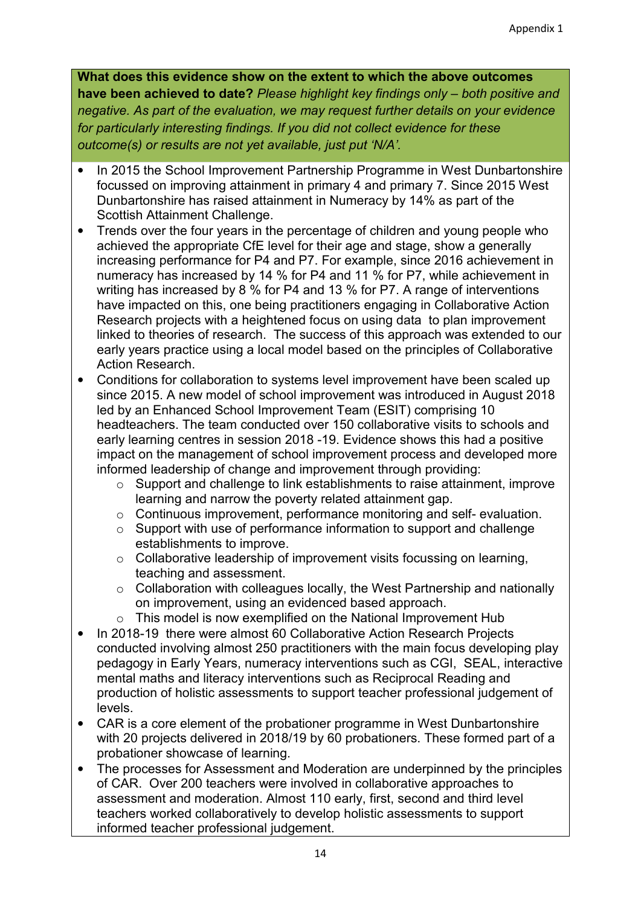- In 2015 the School Improvement Partnership Programme in West Dunbartonshire focussed on improving attainment in primary 4 and primary 7. Since 2015 West Dunbartonshire has raised attainment in Numeracy by 14% as part of the Scottish Attainment Challenge.
- Trends over the four years in the percentage of children and young people who achieved the appropriate CfE level for their age and stage, show a generally increasing performance for P4 and P7. For example, since 2016 achievement in numeracy has increased by 14 % for P4 and 11 % for P7, while achievement in writing has increased by 8 % for P4 and 13 % for P7. A range of interventions have impacted on this, one being practitioners engaging in Collaborative Action Research projects with a heightened focus on using data to plan improvement linked to theories of research. The success of this approach was extended to our early years practice using a local model based on the principles of Collaborative Action Research.
- Conditions for collaboration to systems level improvement have been scaled up since 2015. A new model of school improvement was introduced in August 2018 led by an Enhanced School Improvement Team (ESIT) comprising 10 headteachers. The team conducted over 150 collaborative visits to schools and early learning centres in session 2018 -19. Evidence shows this had a positive impact on the management of school improvement process and developed more informed leadership of change and improvement through providing:
	- o Support and challenge to link establishments to raise attainment, improve learning and narrow the poverty related attainment gap.
	- o Continuous improvement, performance monitoring and self- evaluation.
	- o Support with use of performance information to support and challenge establishments to improve.
	- o Collaborative leadership of improvement visits focussing on learning, teaching and assessment.
	- o Collaboration with colleagues locally, the West Partnership and nationally on improvement, using an evidenced based approach.
	- o This model is now exemplified on the National Improvement Hub
- In 2018-19 there were almost 60 Collaborative Action Research Projects conducted involving almost 250 practitioners with the main focus developing play pedagogy in Early Years, numeracy interventions such as CGI, SEAL, interactive mental maths and literacy interventions such as Reciprocal Reading and production of holistic assessments to support teacher professional judgement of levels.
- CAR is a core element of the probationer programme in West Dunbartonshire with 20 projects delivered in 2018/19 by 60 probationers. These formed part of a probationer showcase of learning.
- The processes for Assessment and Moderation are underpinned by the principles of CAR. Over 200 teachers were involved in collaborative approaches to assessment and moderation. Almost 110 early, first, second and third level teachers worked collaboratively to develop holistic assessments to support informed teacher professional judgement.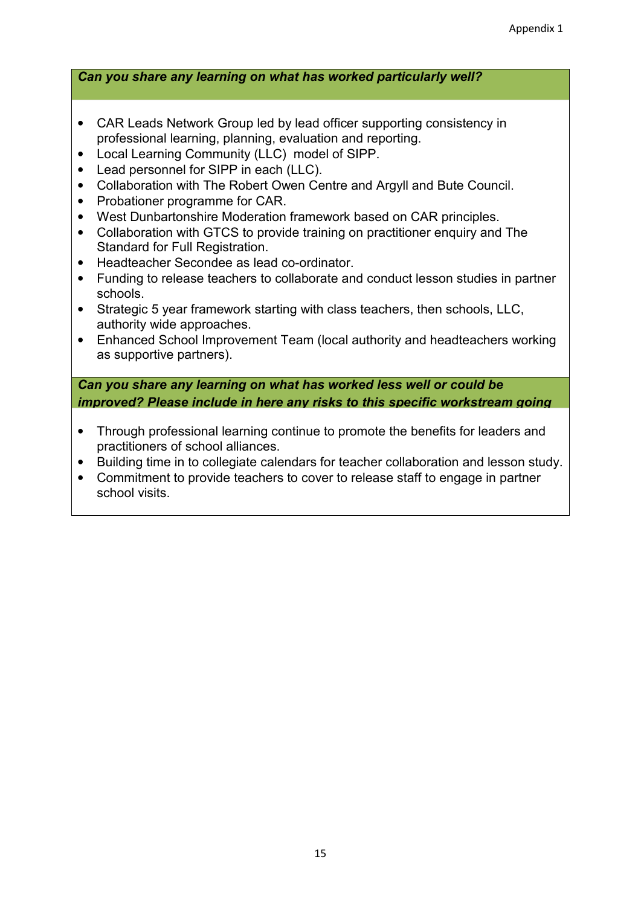*Can you share any learning on what has worked particularly well?* 

- CAR Leads Network Group led by lead officer supporting consistency in professional learning, planning, evaluation and reporting.
- Local Learning Community (LLC) model of SIPP.
- Lead personnel for SIPP in each (LLC).
- Collaboration with The Robert Owen Centre and Argyll and Bute Council.
- Probationer programme for CAR.
- West Dunbartonshire Moderation framework based on CAR principles.
- Collaboration with GTCS to provide training on practitioner enquiry and The Standard for Full Registration.
- Headteacher Secondee as lead co-ordinator.
- Funding to release teachers to collaborate and conduct lesson studies in partner schools.
- Strategic 5 year framework starting with class teachers, then schools, LLC, authority wide approaches.
- Enhanced School Improvement Team (local authority and headteachers working as supportive partners).

*Can you share any learning on what has worked less well or could be improved? Please include in here any risks to this specific workstream going* 

- Through professional learning continue to promote the benefits for leaders and practitioners of school alliances.
- Building time in to collegiate calendars for teacher collaboration and lesson study.
- Commitment to provide teachers to cover to release staff to engage in partner school visits.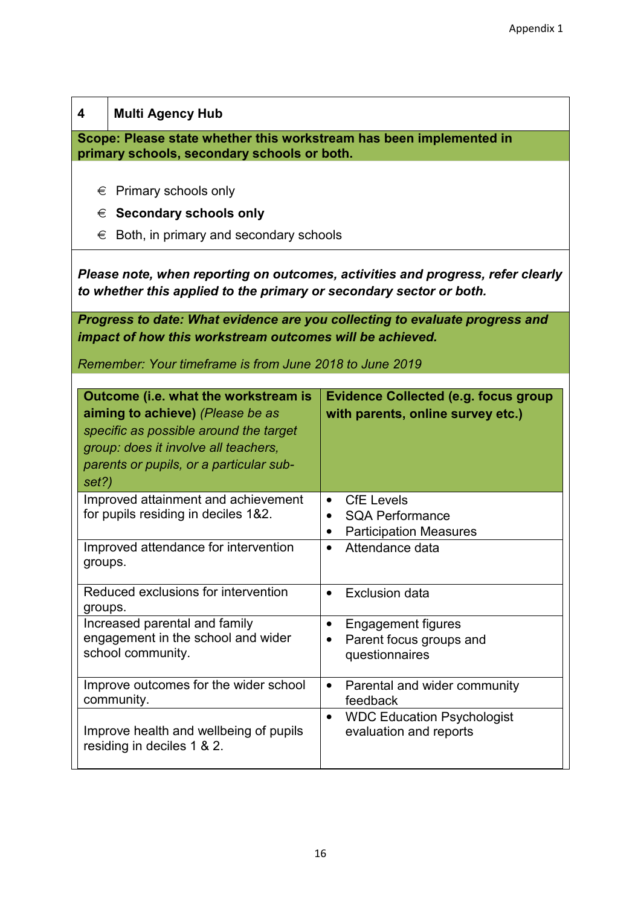| Multi Agency Hub |  |
|------------------|--|
|                  |  |

**Scope: Please state whether this workstream has been implemented in primary schools, secondary schools or both.** 

- $\epsilon$  Primary schools only
- € **Secondary schools only**
- $\epsilon$  Both, in primary and secondary schools

*Please note, when reporting on outcomes, activities and progress, refer clearly to whether this applied to the primary or secondary sector or both.* 

*Progress to date: What evidence are you collecting to evaluate progress and impact of how this workstream outcomes will be achieved.* 

*Remember: Your timeframe is from June 2018 to June 2019*

| Outcome (i.e. what the workstream is<br>aiming to achieve) (Please be as<br>specific as possible around the target<br>group: does it involve all teachers,<br>parents or pupils, or a particular sub-<br>set?) | <b>Evidence Collected (e.g. focus group</b><br>with parents, online survey etc.)                                    |
|----------------------------------------------------------------------------------------------------------------------------------------------------------------------------------------------------------------|---------------------------------------------------------------------------------------------------------------------|
| Improved attainment and achievement<br>for pupils residing in deciles 1&2.                                                                                                                                     | <b>CfE</b> Levels<br>$\bullet$<br><b>SQA Performance</b><br>$\bullet$<br><b>Participation Measures</b><br>$\bullet$ |
| Improved attendance for intervention<br>groups.                                                                                                                                                                | Attendance data<br>$\bullet$                                                                                        |
| Reduced exclusions for intervention<br>groups.                                                                                                                                                                 | <b>Exclusion data</b><br>$\bullet$                                                                                  |
| Increased parental and family<br>engagement in the school and wider<br>school community.                                                                                                                       | <b>Engagement figures</b><br>٠<br>Parent focus groups and<br>$\bullet$<br>questionnaires                            |
| Improve outcomes for the wider school<br>community.                                                                                                                                                            | Parental and wider community<br>$\bullet$<br>feedback                                                               |
| Improve health and wellbeing of pupils<br>residing in deciles 1 & 2.                                                                                                                                           | <b>WDC Education Psychologist</b><br>$\bullet$<br>evaluation and reports                                            |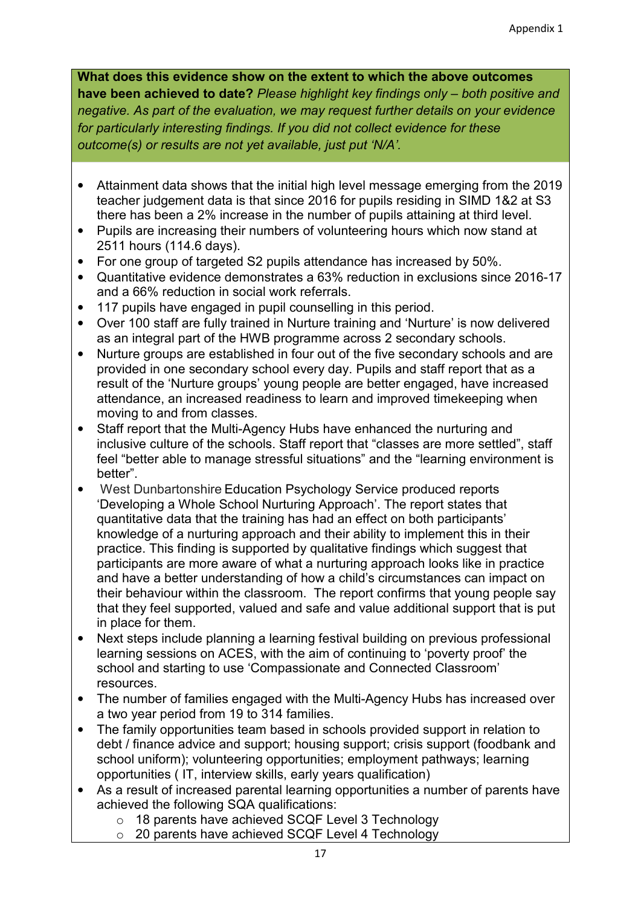- Attainment data shows that the initial high level message emerging from the 2019 teacher judgement data is that since 2016 for pupils residing in SIMD 1&2 at S3 there has been a 2% increase in the number of pupils attaining at third level.
- Pupils are increasing their numbers of volunteering hours which now stand at 2511 hours (114.6 days).
- For one group of targeted S2 pupils attendance has increased by 50%.
- Quantitative evidence demonstrates a 63% reduction in exclusions since 2016-17 and a 66% reduction in social work referrals.
- 117 pupils have engaged in pupil counselling in this period.
- Over 100 staff are fully trained in Nurture training and 'Nurture' is now delivered as an integral part of the HWB programme across 2 secondary schools.
- Nurture groups are established in four out of the five secondary schools and are provided in one secondary school every day. Pupils and staff report that as a result of the 'Nurture groups' young people are better engaged, have increased attendance, an increased readiness to learn and improved timekeeping when moving to and from classes.
- Staff report that the Multi-Agency Hubs have enhanced the nurturing and inclusive culture of the schools. Staff report that "classes are more settled", staff feel "better able to manage stressful situations" and the "learning environment is better".
- West Dunbartonshire Education Psychology Service produced reports 'Developing a Whole School Nurturing Approach'. The report states that quantitative data that the training has had an effect on both participants' knowledge of a nurturing approach and their ability to implement this in their practice. This finding is supported by qualitative findings which suggest that participants are more aware of what a nurturing approach looks like in practice and have a better understanding of how a child's circumstances can impact on their behaviour within the classroom. The report confirms that young people say that they feel supported, valued and safe and value additional support that is put in place for them.
- Next steps include planning a learning festival building on previous professional learning sessions on ACES, with the aim of continuing to 'poverty proof' the school and starting to use 'Compassionate and Connected Classroom' resources.
- The number of families engaged with the Multi-Agency Hubs has increased over a two year period from 19 to 314 families.
- The family opportunities team based in schools provided support in relation to debt / finance advice and support; housing support; crisis support (foodbank and school uniform); volunteering opportunities; employment pathways; learning opportunities ( IT, interview skills, early years qualification)
- As a result of increased parental learning opportunities a number of parents have achieved the following SQA qualifications:
	- o 18 parents have achieved SCQF Level 3 Technology
	- o 20 parents have achieved SCQF Level 4 Technology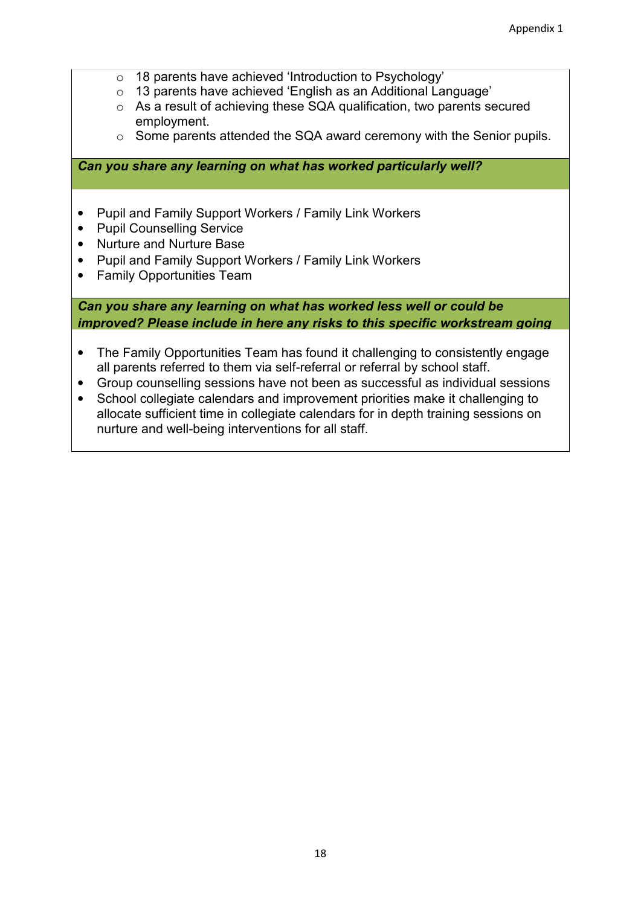- o 18 parents have achieved 'Introduction to Psychology'
- o 13 parents have achieved 'English as an Additional Language'
- o As a result of achieving these SQA qualification, two parents secured employment.
- o Some parents attended the SQA award ceremony with the Senior pupils.

*Can you share any learning on what has worked particularly well?* 

- Pupil and Family Support Workers / Family Link Workers
- Pupil Counselling Service
- Nurture and Nurture Base
- Pupil and Family Support Workers / Family Link Workers
- Family Opportunities Team

*Can you share any learning on what has worked less well or could be improved? Please include in here any risks to this specific workstream going* 

- The Family Opportunities Team has found it challenging to consistently engage all parents referred to them via self-referral or referral by school staff.
- Group counselling sessions have not been as successful as individual sessions
- School collegiate calendars and improvement priorities make it challenging to allocate sufficient time in collegiate calendars for in depth training sessions on nurture and well-being interventions for all staff.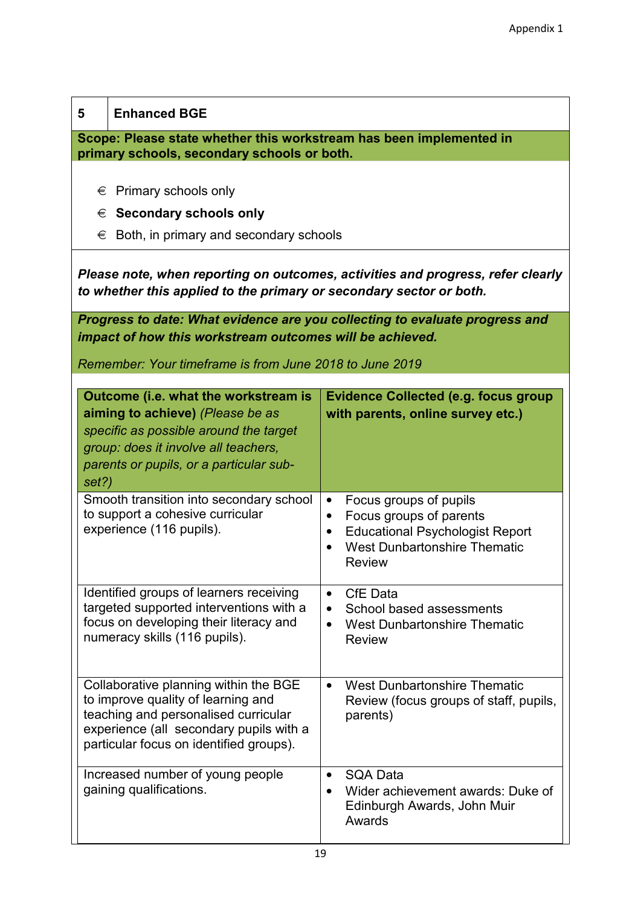| 5                                                                                                                  | <b>Enhanced BGE</b>                                                                                                                                                                                       |                                                                                                                                                                                                         |  |
|--------------------------------------------------------------------------------------------------------------------|-----------------------------------------------------------------------------------------------------------------------------------------------------------------------------------------------------------|---------------------------------------------------------------------------------------------------------------------------------------------------------------------------------------------------------|--|
| Scope: Please state whether this workstream has been implemented in<br>primary schools, secondary schools or both. |                                                                                                                                                                                                           |                                                                                                                                                                                                         |  |
|                                                                                                                    | Primary schools only<br>€                                                                                                                                                                                 |                                                                                                                                                                                                         |  |
| €                                                                                                                  | <b>Secondary schools only</b>                                                                                                                                                                             |                                                                                                                                                                                                         |  |
| €                                                                                                                  | Both, in primary and secondary schools                                                                                                                                                                    |                                                                                                                                                                                                         |  |
|                                                                                                                    | to whether this applied to the primary or secondary sector or both.                                                                                                                                       | Please note, when reporting on outcomes, activities and progress, refer clearly                                                                                                                         |  |
|                                                                                                                    | impact of how this workstream outcomes will be achieved.                                                                                                                                                  | Progress to date: What evidence are you collecting to evaluate progress and                                                                                                                             |  |
|                                                                                                                    |                                                                                                                                                                                                           |                                                                                                                                                                                                         |  |
|                                                                                                                    | Remember: Your timeframe is from June 2018 to June 2019                                                                                                                                                   |                                                                                                                                                                                                         |  |
| set?)                                                                                                              | Outcome (i.e. what the workstream is<br>aiming to achieve) (Please be as<br>specific as possible around the target<br>group: does it involve all teachers,<br>parents or pupils, or a particular sub-     | <b>Evidence Collected (e.g. focus group</b><br>with parents, online survey etc.)                                                                                                                        |  |
|                                                                                                                    | Smooth transition into secondary school<br>to support a cohesive curricular<br>experience (116 pupils).                                                                                                   | Focus groups of pupils<br>$\bullet$<br>Focus groups of parents<br>$\bullet$<br><b>Educational Psychologist Report</b><br>$\bullet$<br><b>West Dunbartonshire Thematic</b><br>$\bullet$<br><b>Review</b> |  |
|                                                                                                                    | Identified groups of learners receiving<br>targeted supported interventions with a<br>focus on developing their literacy and<br>numeracy skills (116 pupils).                                             | <b>CfE</b> Data<br>$\bullet$<br>School based assessments<br>$\bullet$<br><b>West Dunbartonshire Thematic</b><br>$\bullet$<br><b>Review</b>                                                              |  |
|                                                                                                                    | Collaborative planning within the BGE<br>to improve quality of learning and<br>teaching and personalised curricular<br>experience (all secondary pupils with a<br>particular focus on identified groups). | <b>West Dunbartonshire Thematic</b><br>$\bullet$<br>Review (focus groups of staff, pupils,<br>parents)                                                                                                  |  |
|                                                                                                                    | Increased number of young people<br>gaining qualifications.                                                                                                                                               | <b>SQA Data</b><br>$\bullet$<br>Wider achievement awards: Duke of<br>Edinburgh Awards, John Muir<br>Awards                                                                                              |  |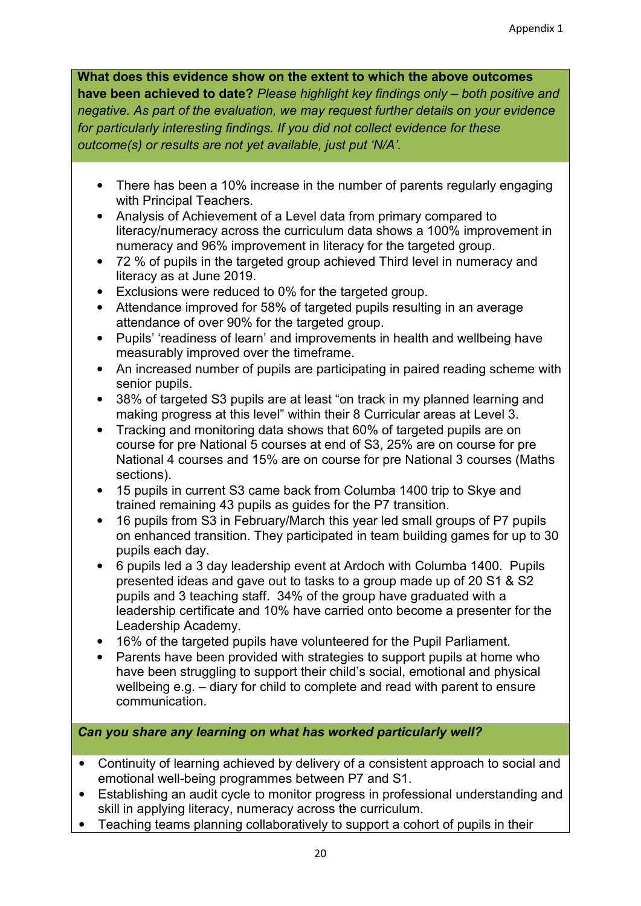- There has been a 10% increase in the number of parents regularly engaging with Principal Teachers.
- Analysis of Achievement of a Level data from primary compared to literacy/numeracy across the curriculum data shows a 100% improvement in numeracy and 96% improvement in literacy for the targeted group.
- 72 % of pupils in the targeted group achieved Third level in numeracy and literacy as at June 2019.
- Exclusions were reduced to 0% for the targeted group.
- Attendance improved for 58% of targeted pupils resulting in an average attendance of over 90% for the targeted group.
- Pupils' 'readiness of learn' and improvements in health and wellbeing have measurably improved over the timeframe.
- An increased number of pupils are participating in paired reading scheme with senior pupils.
- 38% of targeted S3 pupils are at least "on track in my planned learning and making progress at this level" within their 8 Curricular areas at Level 3.
- Tracking and monitoring data shows that 60% of targeted pupils are on course for pre National 5 courses at end of S3, 25% are on course for pre National 4 courses and 15% are on course for pre National 3 courses (Maths sections).
- 15 pupils in current S3 came back from Columba 1400 trip to Skye and trained remaining 43 pupils as guides for the P7 transition.
- 16 pupils from S3 in February/March this year led small groups of P7 pupils on enhanced transition. They participated in team building games for up to 30 pupils each day.
- 6 pupils led a 3 day leadership event at Ardoch with Columba 1400. Pupils presented ideas and gave out to tasks to a group made up of 20 S1 & S2 pupils and 3 teaching staff. 34% of the group have graduated with a leadership certificate and 10% have carried onto become a presenter for the Leadership Academy.
- 16% of the targeted pupils have volunteered for the Pupil Parliament.
- Parents have been provided with strategies to support pupils at home who have been struggling to support their child's social, emotional and physical wellbeing e.g. – diary for child to complete and read with parent to ensure communication.

*Can you share any learning on what has worked particularly well?* 

- Continuity of learning achieved by delivery of a consistent approach to social and emotional well-being programmes between P7 and S1.
- Establishing an audit cycle to monitor progress in professional understanding and skill in applying literacy, numeracy across the curriculum.
- Teaching teams planning collaboratively to support a cohort of pupils in their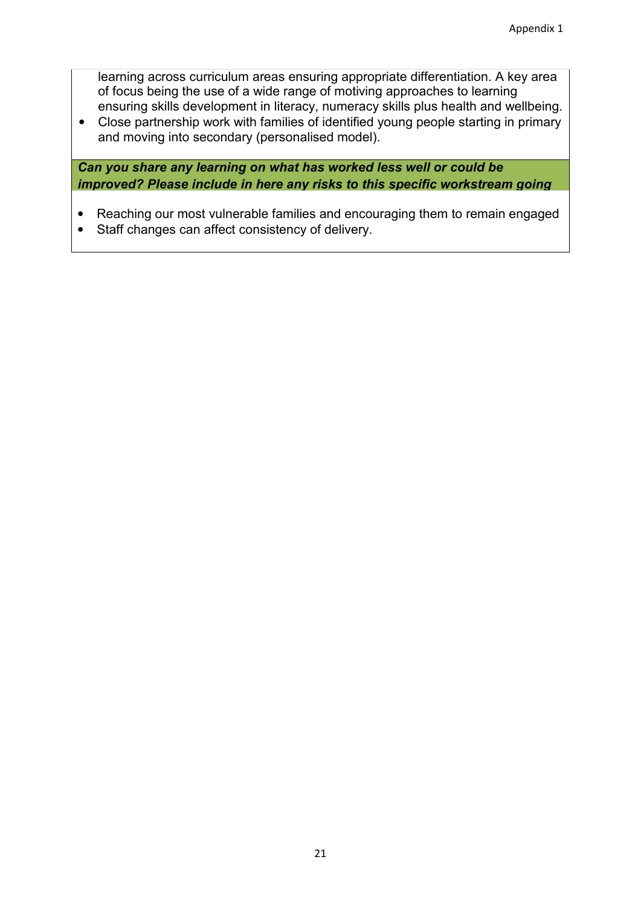learning across curriculum areas ensuring appropriate differentiation. A key area of focus being the use of a wide range of motiving approaches to learning ensuring skills development in literacy, numeracy skills plus health and wellbeing.

• Close partnership work with families of identified young people starting in primary and moving into secondary (personalised model).

*Can you share any learning on what has worked less well or could be improved? Please include in here any risks to this specific workstream going* 

- Reaching our most vulnerable families and encouraging them to remain engaged
- Staff changes can affect consistency of delivery.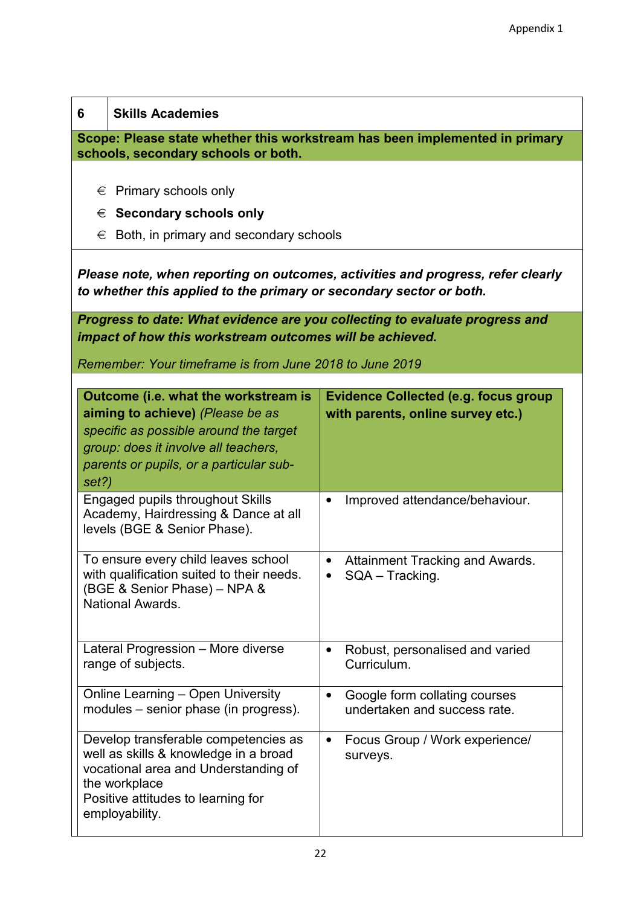| 6                                                                                                                  | <b>Skills Academies</b>                                                                                                                                                                               |                                                                                  |  |
|--------------------------------------------------------------------------------------------------------------------|-------------------------------------------------------------------------------------------------------------------------------------------------------------------------------------------------------|----------------------------------------------------------------------------------|--|
| Scope: Please state whether this workstream has been implemented in primary<br>schools, secondary schools or both. |                                                                                                                                                                                                       |                                                                                  |  |
| €                                                                                                                  | $\epsilon$ Primary schools only<br>$\epsilon$ Secondary schools only<br>Both, in primary and secondary schools                                                                                        |                                                                                  |  |
|                                                                                                                    | Please note, when reporting on outcomes, activities and progress, refer clearly<br>to whether this applied to the primary or secondary sector or both.                                                |                                                                                  |  |
|                                                                                                                    | Progress to date: What evidence are you collecting to evaluate progress and<br>impact of how this workstream outcomes will be achieved.<br>Remember: Your timeframe is from June 2018 to June 2019    |                                                                                  |  |
| set?)                                                                                                              | Outcome (i.e. what the workstream is<br>aiming to achieve) (Please be as<br>specific as possible around the target<br>group: does it involve all teachers,<br>parents or pupils, or a particular sub- | <b>Evidence Collected (e.g. focus group</b><br>with parents, online survey etc.) |  |
|                                                                                                                    | <b>Engaged pupils throughout Skills</b><br>Academy, Hairdressing & Dance at all<br>levels (BGE & Senior Phase).                                                                                       | Improved attendance/behaviour.<br>$\bullet$                                      |  |
|                                                                                                                    | To ensure every child leaves school<br>with qualification suited to their needs.<br>(BGE & Senior Phase) - NPA &<br>National Awards.                                                                  | <b>Attainment Tracking and Awards.</b><br>SQA - Tracking.                        |  |
|                                                                                                                    | Lateral Progression - More diverse<br>range of subjects.                                                                                                                                              | Robust, personalised and varied<br>$\bullet$<br>Curriculum.                      |  |
|                                                                                                                    | <b>Online Learning - Open University</b><br>modules – senior phase (in progress).                                                                                                                     | Google form collating courses<br>$\bullet$<br>undertaken and success rate.       |  |
|                                                                                                                    | Develop transferable competencies as<br>well as skills & knowledge in a broad<br>vocational area and Understanding of<br>the workplace<br>Positive attitudes to learning for<br>employability.        | Focus Group / Work experience/<br>$\bullet$<br>surveys.                          |  |